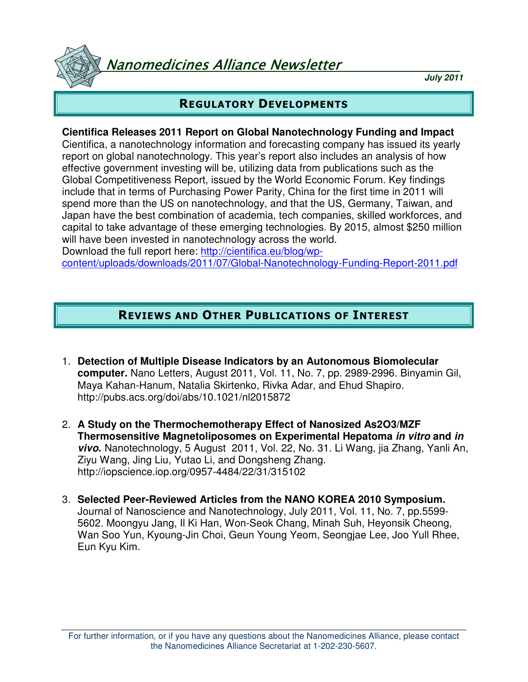Vanomedicines Alliance Newsletter

**July 2011**

# REGULATORY DEVELOPMENTS

#### **Cientifica Releases 2011 Report on Global Nanotechnology Funding and Impact**

Cientifica, a nanotechnology information and forecasting company has issued its yearly report on global nanotechnology. This year's report also includes an analysis of how effective government investing will be, utilizing data from publications such as the Global Competitiveness Report, issued by the World Economic Forum. Key findings include that in terms of Purchasing Power Parity, China for the first time in 2011 will spend more than the US on nanotechnology, and that the US, Germany, Taiwan, and Japan have the best combination of academia, tech companies, skilled workforces, and capital to take advantage of these emerging technologies. By 2015, almost \$250 million will have been invested in nanotechnology across the world. Download the full report here: http://cientifica.eu/blog/wp-

content/uploads/downloads/2011/07/Global-Nanotechnology-Funding-Report-2011.pdf

# REVIEWS AND OTHER PUBLICATIONS OF INTEREST

- 1. **Detection of Multiple Disease Indicators by an Autonomous Biomolecular computer.** Nano Letters, August 2011, Vol. 11, No. 7, pp. 2989-2996. Binyamin Gil, Maya Kahan-Hanum, Natalia Skirtenko, Rivka Adar, and Ehud Shapiro. http://pubs.acs.org/doi/abs/10.1021/nl2015872
- 2. **A Study on the Thermochemotherapy Effect of Nanosized As2O3/MZF Thermosensitive Magnetoliposomes on Experimental Hepatoma in vitro and in vivo.** Nanotechnology, 5 August 2011, Vol. 22, No. 31. Li Wang, jia Zhang, Yanli An, Ziyu Wang, Jing Liu, Yutao Li, and Dongsheng Zhang. http://iopscience.iop.org/0957-4484/22/31/315102
- 3. **Selected Peer-Reviewed Articles from the NANO KOREA 2010 Symposium.** Journal of Nanoscience and Nanotechnology, July 2011, Vol. 11, No. 7, pp.5599- 5602. Moongyu Jang, Il Ki Han, Won-Seok Chang, Minah Suh, Heyonsik Cheong, Wan Soo Yun, Kyoung-Jin Choi, Geun Young Yeom, Seongjae Lee, Joo Yull Rhee, Eun Kyu Kim.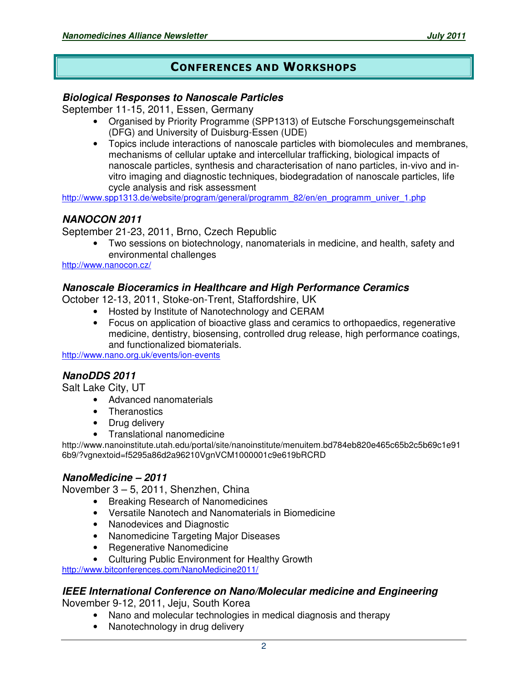## CONFERENCES AND WORKSHOPS

#### **Biological Responses to Nanoscale Particles**

September 11-15, 2011, Essen, Germany

- Organised by Priority Programme (SPP1313) of Eutsche Forschungsgemeinschaft (DFG) and University of Duisburg-Essen (UDE)
- Topics include interactions of nanoscale particles with biomolecules and membranes, mechanisms of cellular uptake and intercellular trafficking, biological impacts of nanoscale particles, synthesis and characterisation of nano particles, in-vivo and invitro imaging and diagnostic techniques, biodegradation of nanoscale particles, life cycle analysis and risk assessment

http://www.spp1313.de/website/program/general/programm\_82/en/en\_programm\_univer\_1.php

## **NANOCON 2011**

September 21-23, 2011, Brno, Czech Republic

• Two sessions on biotechnology, nanomaterials in medicine, and health, safety and environmental challenges

http://www.nanocon.cz/

#### **Nanoscale Bioceramics in Healthcare and High Performance Ceramics**

October 12-13, 2011, Stoke-on-Trent, Staffordshire, UK

- Hosted by Institute of Nanotechnology and CERAM
- Focus on application of bioactive glass and ceramics to orthopaedics, regenerative medicine, dentistry, biosensing, controlled drug release, high performance coatings, and functionalized biomaterials.

http://www.nano.org.uk/events/ion-events

## **NanoDDS 2011**

Salt Lake City, UT

- Advanced nanomaterials
- Theranostics
- Drug delivery
- Translational nanomedicine

http://www.nanoinstitute.utah.edu/portal/site/nanoinstitute/menuitem.bd784eb820e465c65b2c5b69c1e91 6b9/?vgnextoid=f5295a86d2a96210VgnVCM1000001c9e619bRCRD

## **NanoMedicine – 2011**

November 3 – 5, 2011, Shenzhen, China

- Breaking Research of Nanomedicines
- Versatile Nanotech and Nanomaterials in Biomedicine
- Nanodevices and Diagnostic
- Nanomedicine Targeting Major Diseases
- Regenerative Nanomedicine
- Culturing Public Environment for Healthy Growth

http://www.bitconferences.com/NanoMedicine2011/

#### **IEEE International Conference on Nano/Molecular medicine and Engineering**

November 9-12, 2011, Jeju, South Korea

- Nano and molecular technologies in medical diagnosis and therapy
- Nanotechnology in drug delivery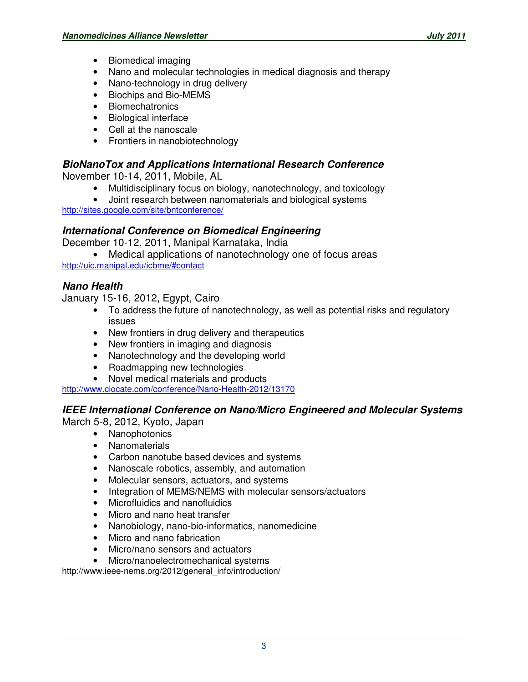- Biomedical imaging
- Nano and molecular technologies in medical diagnosis and therapy
- Nano-technology in drug delivery
- Biochips and Bio-MEMS
- Biomechatronics
- Biological interface
- Cell at the nanoscale
- Frontiers in nanobiotechnology

## **BioNanoTox and Applications International Research Conference**

November 10-14, 2011, Mobile, AL

- Multidisciplinary focus on biology, nanotechnology, and toxicology
- Joint research between nanomaterials and biological systems

http://sites.google.com/site/bntconference/

## **International Conference on Biomedical Engineering**

December 10-12, 2011, Manipal Karnataka, India

• Medical applications of nanotechnology one of focus areas http://uic.manipal.edu/icbme/#contact

## **Nano Health**

January 15-16, 2012, Egypt, Cairo

- To address the future of nanotechnology, as well as potential risks and regulatory issues
- New frontiers in drug delivery and therapeutics
- New frontiers in imaging and diagnosis
- Nanotechnology and the developing world
- Roadmapping new technologies
- Novel medical materials and products

http://www.clocate.com/conference/Nano-Health-2012/13170

## **IEEE International Conference on Nano/Micro Engineered and Molecular Systems**

March 5-8, 2012, Kyoto, Japan

- Nanophotonics
- Nanomaterials
- Carbon nanotube based devices and systems
- Nanoscale robotics, assembly, and automation
- Molecular sensors, actuators, and systems
- Integration of MEMS/NEMS with molecular sensors/actuators
- Microfluidics and nanofluidics
- Micro and nano heat transfer
- Nanobiology, nano-bio-informatics, nanomedicine
- Micro and nano fabrication
- Micro/nano sensors and actuators
- Micro/nanoelectromechanical systems

http://www.ieee-nems.org/2012/general\_info/introduction/